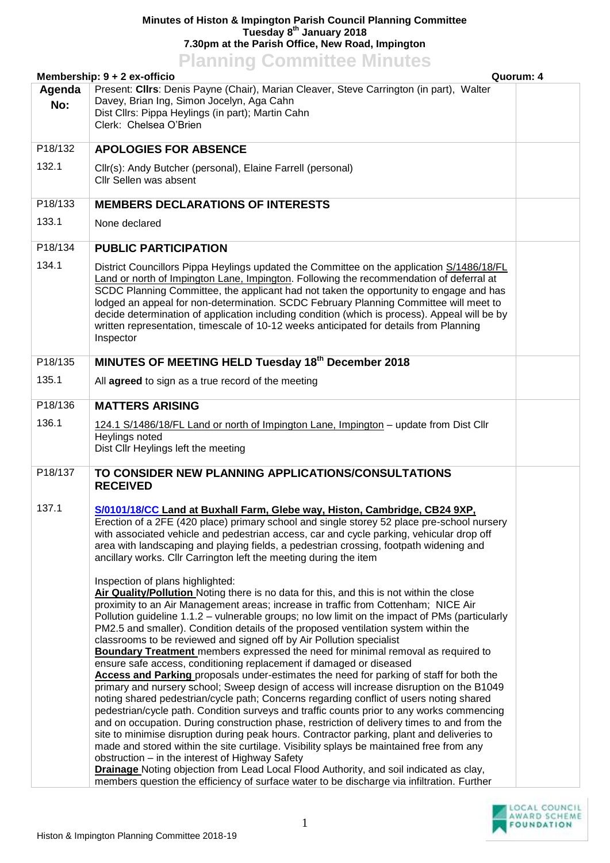## **Minutes of Histon & Impington Parish Council Planning Committee Tuesday 8 th January 2018 7.30pm at the Parish Office, New Road, Impington Planning Committee Minutes**

| <u><b>I KITTING COMMITTEE MITTULES</b></u><br>Quorum: 4<br>Membership: $9 + 2$ ex-officio |                                                                                                                                                                                                                                                                                                                                                                                                                                                                                                                                                                                                                                                                                                                                                                                                                                                                                                                                                                                                                                                                                                                                                                                                                                                                                                                                                                                                                                                                                                                                                                                                                                                                                                                                                                                                                                                                                                                                                                                                                 |  |  |  |
|-------------------------------------------------------------------------------------------|-----------------------------------------------------------------------------------------------------------------------------------------------------------------------------------------------------------------------------------------------------------------------------------------------------------------------------------------------------------------------------------------------------------------------------------------------------------------------------------------------------------------------------------------------------------------------------------------------------------------------------------------------------------------------------------------------------------------------------------------------------------------------------------------------------------------------------------------------------------------------------------------------------------------------------------------------------------------------------------------------------------------------------------------------------------------------------------------------------------------------------------------------------------------------------------------------------------------------------------------------------------------------------------------------------------------------------------------------------------------------------------------------------------------------------------------------------------------------------------------------------------------------------------------------------------------------------------------------------------------------------------------------------------------------------------------------------------------------------------------------------------------------------------------------------------------------------------------------------------------------------------------------------------------------------------------------------------------------------------------------------------------|--|--|--|
| Agenda<br>No:                                                                             | Present: Cllrs: Denis Payne (Chair), Marian Cleaver, Steve Carrington (in part), Walter<br>Davey, Brian Ing, Simon Jocelyn, Aga Cahn<br>Dist Cllrs: Pippa Heylings (in part); Martin Cahn<br>Clerk: Chelsea O'Brien                                                                                                                                                                                                                                                                                                                                                                                                                                                                                                                                                                                                                                                                                                                                                                                                                                                                                                                                                                                                                                                                                                                                                                                                                                                                                                                                                                                                                                                                                                                                                                                                                                                                                                                                                                                             |  |  |  |
| P18/132                                                                                   | <b>APOLOGIES FOR ABSENCE</b>                                                                                                                                                                                                                                                                                                                                                                                                                                                                                                                                                                                                                                                                                                                                                                                                                                                                                                                                                                                                                                                                                                                                                                                                                                                                                                                                                                                                                                                                                                                                                                                                                                                                                                                                                                                                                                                                                                                                                                                    |  |  |  |
| 132.1                                                                                     | Cllr(s): Andy Butcher (personal), Elaine Farrell (personal)<br>Cllr Sellen was absent                                                                                                                                                                                                                                                                                                                                                                                                                                                                                                                                                                                                                                                                                                                                                                                                                                                                                                                                                                                                                                                                                                                                                                                                                                                                                                                                                                                                                                                                                                                                                                                                                                                                                                                                                                                                                                                                                                                           |  |  |  |
| P18/133                                                                                   | <b>MEMBERS DECLARATIONS OF INTERESTS</b>                                                                                                                                                                                                                                                                                                                                                                                                                                                                                                                                                                                                                                                                                                                                                                                                                                                                                                                                                                                                                                                                                                                                                                                                                                                                                                                                                                                                                                                                                                                                                                                                                                                                                                                                                                                                                                                                                                                                                                        |  |  |  |
| 133.1                                                                                     | None declared                                                                                                                                                                                                                                                                                                                                                                                                                                                                                                                                                                                                                                                                                                                                                                                                                                                                                                                                                                                                                                                                                                                                                                                                                                                                                                                                                                                                                                                                                                                                                                                                                                                                                                                                                                                                                                                                                                                                                                                                   |  |  |  |
| P18/134                                                                                   | <b>PUBLIC PARTICIPATION</b>                                                                                                                                                                                                                                                                                                                                                                                                                                                                                                                                                                                                                                                                                                                                                                                                                                                                                                                                                                                                                                                                                                                                                                                                                                                                                                                                                                                                                                                                                                                                                                                                                                                                                                                                                                                                                                                                                                                                                                                     |  |  |  |
| 134.1                                                                                     | District Councillors Pippa Heylings updated the Committee on the application S/1486/18/FL<br>Land or north of Impington Lane, Impington. Following the recommendation of deferral at<br>SCDC Planning Committee, the applicant had not taken the opportunity to engage and has<br>lodged an appeal for non-determination. SCDC February Planning Committee will meet to<br>decide determination of application including condition (which is process). Appeal will be by<br>written representation, timescale of 10-12 weeks anticipated for details from Planning<br>Inspector                                                                                                                                                                                                                                                                                                                                                                                                                                                                                                                                                                                                                                                                                                                                                                                                                                                                                                                                                                                                                                                                                                                                                                                                                                                                                                                                                                                                                                 |  |  |  |
| P18/135                                                                                   | MINUTES OF MEETING HELD Tuesday 18 <sup>th</sup> December 2018                                                                                                                                                                                                                                                                                                                                                                                                                                                                                                                                                                                                                                                                                                                                                                                                                                                                                                                                                                                                                                                                                                                                                                                                                                                                                                                                                                                                                                                                                                                                                                                                                                                                                                                                                                                                                                                                                                                                                  |  |  |  |
| 135.1                                                                                     | All agreed to sign as a true record of the meeting                                                                                                                                                                                                                                                                                                                                                                                                                                                                                                                                                                                                                                                                                                                                                                                                                                                                                                                                                                                                                                                                                                                                                                                                                                                                                                                                                                                                                                                                                                                                                                                                                                                                                                                                                                                                                                                                                                                                                              |  |  |  |
| P18/136                                                                                   | <b>MATTERS ARISING</b>                                                                                                                                                                                                                                                                                                                                                                                                                                                                                                                                                                                                                                                                                                                                                                                                                                                                                                                                                                                                                                                                                                                                                                                                                                                                                                                                                                                                                                                                                                                                                                                                                                                                                                                                                                                                                                                                                                                                                                                          |  |  |  |
| 136.1                                                                                     | 124.1 S/1486/18/FL Land or north of Impington Lane, Impington - update from Dist Cllr<br>Heylings noted<br>Dist Cllr Heylings left the meeting                                                                                                                                                                                                                                                                                                                                                                                                                                                                                                                                                                                                                                                                                                                                                                                                                                                                                                                                                                                                                                                                                                                                                                                                                                                                                                                                                                                                                                                                                                                                                                                                                                                                                                                                                                                                                                                                  |  |  |  |
| P18/137                                                                                   | TO CONSIDER NEW PLANNING APPLICATIONS/CONSULTATIONS<br><b>RECEIVED</b>                                                                                                                                                                                                                                                                                                                                                                                                                                                                                                                                                                                                                                                                                                                                                                                                                                                                                                                                                                                                                                                                                                                                                                                                                                                                                                                                                                                                                                                                                                                                                                                                                                                                                                                                                                                                                                                                                                                                          |  |  |  |
| 137.1                                                                                     | S/0101/18/CC Land at Buxhall Farm, Glebe way, Histon, Cambridge, CB24 9XP,<br>Erection of a 2FE (420 place) primary school and single storey 52 place pre-school nursery<br>with associated vehicle and pedestrian access, car and cycle parking, vehicular drop off<br>area with landscaping and playing fields, a pedestrian crossing, footpath widening and<br>ancillary works. Cllr Carrington left the meeting during the item<br>Inspection of plans highlighted:<br>Air Quality/Pollution Noting there is no data for this, and this is not within the close<br>proximity to an Air Management areas; increase in traffic from Cottenham; NICE Air<br>Pollution guideline 1.1.2 - vulnerable groups; no low limit on the impact of PMs (particularly<br>PM2.5 and smaller). Condition details of the proposed ventilation system within the<br>classrooms to be reviewed and signed off by Air Pollution specialist<br><b>Boundary Treatment</b> members expressed the need for minimal removal as required to<br>ensure safe access, conditioning replacement if damaged or diseased<br>Access and Parking proposals under-estimates the need for parking of staff for both the<br>primary and nursery school; Sweep design of access will increase disruption on the B1049<br>noting shared pedestrian/cycle path; Concerns regarding conflict of users noting shared<br>pedestrian/cycle path. Condition surveys and traffic counts prior to any works commencing<br>and on occupation. During construction phase, restriction of delivery times to and from the<br>site to minimise disruption during peak hours. Contractor parking, plant and deliveries to<br>made and stored within the site curtilage. Visibility splays be maintained free from any<br>obstruction - in the interest of Highway Safety<br>Drainage Noting objection from Lead Local Flood Authority, and soil indicated as clay,<br>members question the efficiency of surface water to be discharge via infiltration. Further |  |  |  |